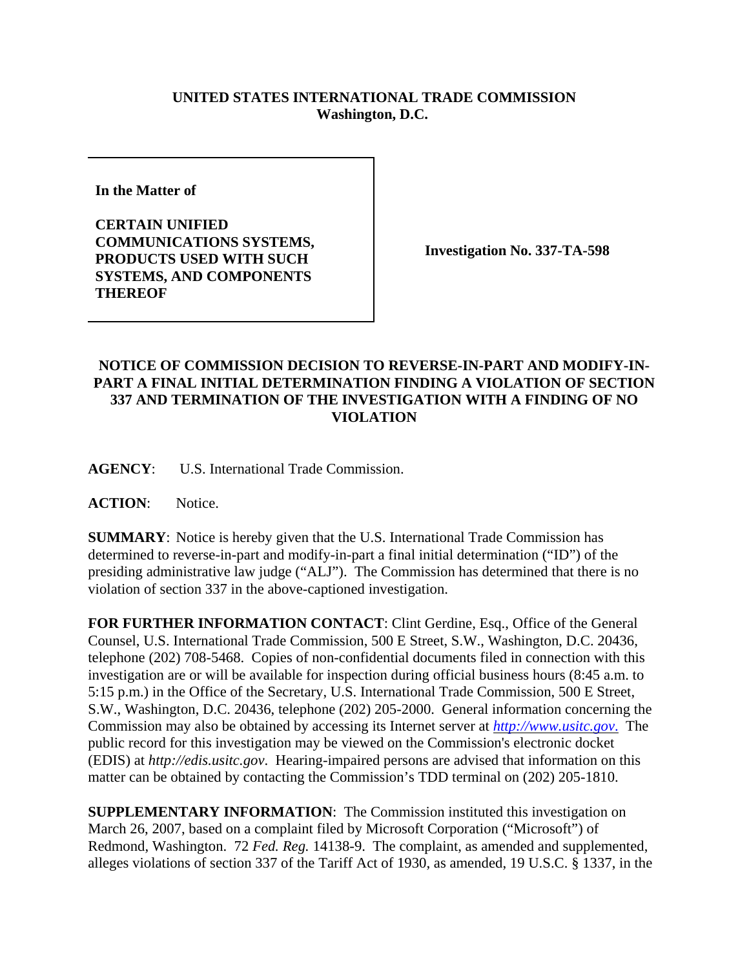## **UNITED STATES INTERNATIONAL TRADE COMMISSION Washington, D.C.**

**In the Matter of** 

**CERTAIN UNIFIED COMMUNICATIONS SYSTEMS, PRODUCTS USED WITH SUCH SYSTEMS, AND COMPONENTS THEREOF**

**Investigation No. 337-TA-598**

## **NOTICE OF COMMISSION DECISION TO REVERSE-IN-PART AND MODIFY-IN-PART A FINAL INITIAL DETERMINATION FINDING A VIOLATION OF SECTION 337 AND TERMINATION OF THE INVESTIGATION WITH A FINDING OF NO VIOLATION**

**AGENCY**: U.S. International Trade Commission.

**ACTION**: Notice.

**SUMMARY**: Notice is hereby given that the U.S. International Trade Commission has determined to reverse-in-part and modify-in-part a final initial determination ("ID") of the presiding administrative law judge ("ALJ"). The Commission has determined that there is no violation of section 337 in the above-captioned investigation.

**FOR FURTHER INFORMATION CONTACT**: Clint Gerdine, Esq., Office of the General Counsel, U.S. International Trade Commission, 500 E Street, S.W., Washington, D.C. 20436, telephone (202) 708-5468. Copies of non-confidential documents filed in connection with this investigation are or will be available for inspection during official business hours (8:45 a.m. to 5:15 p.m.) in the Office of the Secretary, U.S. International Trade Commission, 500 E Street, S.W., Washington, D.C. 20436, telephone (202) 205-2000. General information concerning the Commission may also be obtained by accessing its Internet server at *http://www.usitc.gov*. The public record for this investigation may be viewed on the Commission's electronic docket (EDIS) at *http://edis.usitc.gov*. Hearing-impaired persons are advised that information on this matter can be obtained by contacting the Commission's TDD terminal on (202) 205-1810.

**SUPPLEMENTARY INFORMATION:** The Commission instituted this investigation on March 26, 2007, based on a complaint filed by Microsoft Corporation ("Microsoft") of Redmond, Washington. 72 *Fed. Reg.* 14138-9. The complaint, as amended and supplemented, alleges violations of section 337 of the Tariff Act of 1930, as amended, 19 U.S.C. § 1337, in the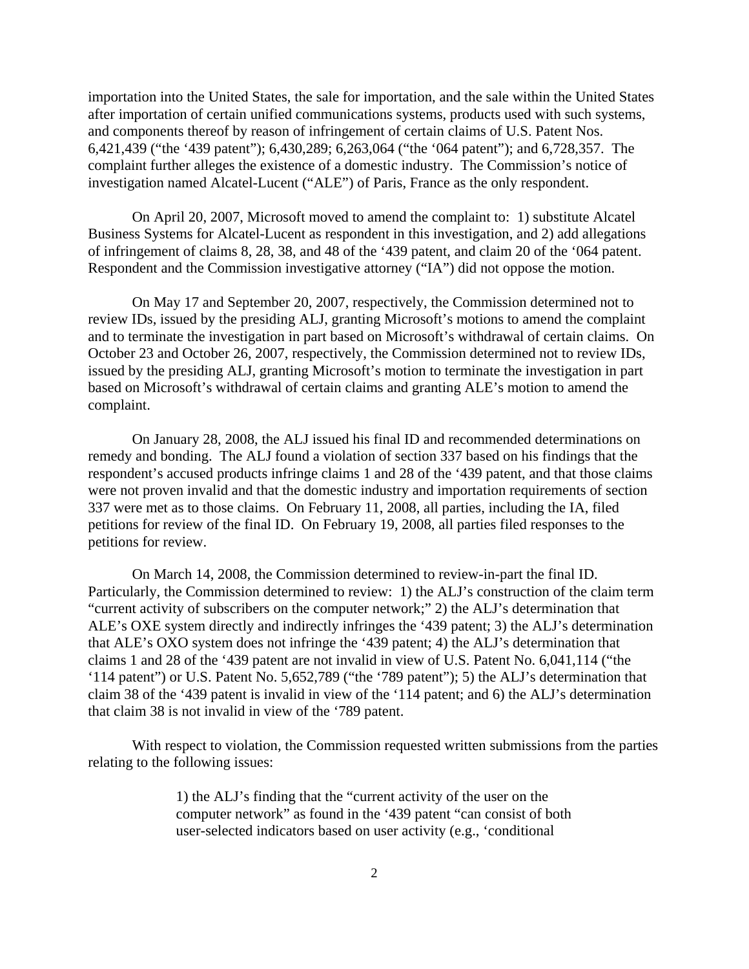importation into the United States, the sale for importation, and the sale within the United States after importation of certain unified communications systems, products used with such systems, and components thereof by reason of infringement of certain claims of U.S. Patent Nos. 6,421,439 ("the '439 patent"); 6,430,289; 6,263,064 ("the '064 patent"); and 6,728,357. The complaint further alleges the existence of a domestic industry. The Commission's notice of investigation named Alcatel-Lucent ("ALE") of Paris, France as the only respondent.

On April 20, 2007, Microsoft moved to amend the complaint to: 1) substitute Alcatel Business Systems for Alcatel-Lucent as respondent in this investigation, and 2) add allegations of infringement of claims 8, 28, 38, and 48 of the '439 patent, and claim 20 of the '064 patent. Respondent and the Commission investigative attorney ("IA") did not oppose the motion.

On May 17 and September 20, 2007, respectively, the Commission determined not to review IDs, issued by the presiding ALJ, granting Microsoft's motions to amend the complaint and to terminate the investigation in part based on Microsoft's withdrawal of certain claims. On October 23 and October 26, 2007, respectively, the Commission determined not to review IDs, issued by the presiding ALJ, granting Microsoft's motion to terminate the investigation in part based on Microsoft's withdrawal of certain claims and granting ALE's motion to amend the complaint.

On January 28, 2008, the ALJ issued his final ID and recommended determinations on remedy and bonding. The ALJ found a violation of section 337 based on his findings that the respondent's accused products infringe claims 1 and 28 of the '439 patent, and that those claims were not proven invalid and that the domestic industry and importation requirements of section 337 were met as to those claims. On February 11, 2008, all parties, including the IA, filed petitions for review of the final ID. On February 19, 2008, all parties filed responses to the petitions for review.

On March 14, 2008, the Commission determined to review-in-part the final ID. Particularly, the Commission determined to review: 1) the ALJ's construction of the claim term "current activity of subscribers on the computer network;" 2) the ALJ's determination that ALE's OXE system directly and indirectly infringes the '439 patent; 3) the ALJ's determination that ALE's OXO system does not infringe the '439 patent; 4) the ALJ's determination that claims 1 and 28 of the '439 patent are not invalid in view of U.S. Patent No. 6,041,114 ("the '114 patent") or U.S. Patent No. 5,652,789 ("the '789 patent"); 5) the ALJ's determination that claim 38 of the '439 patent is invalid in view of the '114 patent; and 6) the ALJ's determination that claim 38 is not invalid in view of the '789 patent.

With respect to violation, the Commission requested written submissions from the parties relating to the following issues:

> 1) the ALJ's finding that the "current activity of the user on the computer network" as found in the '439 patent "can consist of both user-selected indicators based on user activity (e.g., 'conditional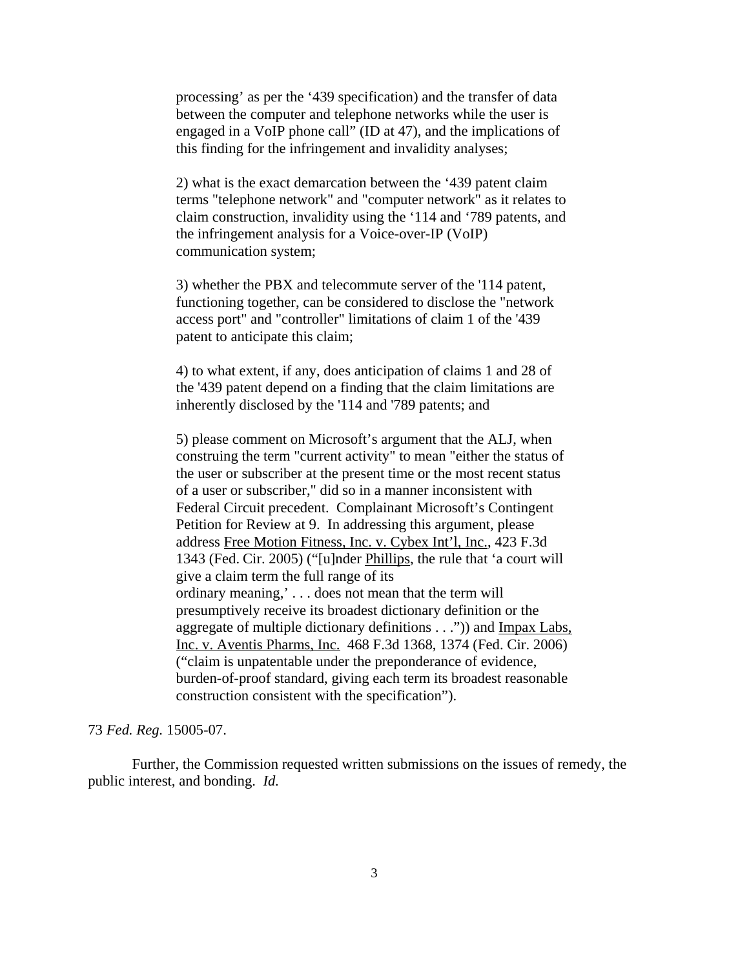processing' as per the '439 specification) and the transfer of data between the computer and telephone networks while the user is engaged in a VoIP phone call" (ID at 47), and the implications of this finding for the infringement and invalidity analyses;

2) what is the exact demarcation between the '439 patent claim terms "telephone network" and "computer network" as it relates to claim construction, invalidity using the '114 and '789 patents, and the infringement analysis for a Voice-over-IP (VoIP) communication system;

3) whether the PBX and telecommute server of the '114 patent, functioning together, can be considered to disclose the "network access port" and "controller" limitations of claim 1 of the '439 patent to anticipate this claim;

4) to what extent, if any, does anticipation of claims 1 and 28 of the '439 patent depend on a finding that the claim limitations are inherently disclosed by the '114 and '789 patents; and

5) please comment on Microsoft's argument that the ALJ, when construing the term "current activity" to mean "either the status of the user or subscriber at the present time or the most recent status of a user or subscriber," did so in a manner inconsistent with Federal Circuit precedent. Complainant Microsoft's Contingent Petition for Review at 9. In addressing this argument, please address Free Motion Fitness, Inc. v. Cybex Int'l, Inc., 423 F.3d 1343 (Fed. Cir. 2005) ("[u]nder Phillips, the rule that 'a court will give a claim term the full range of its ordinary meaning,' . . . does not mean that the term will presumptively receive its broadest dictionary definition or the aggregate of multiple dictionary definitions . . .")) and Impax Labs, Inc. v. Aventis Pharms, Inc. 468 F.3d 1368, 1374 (Fed. Cir. 2006) ("claim is unpatentable under the preponderance of evidence, burden-of-proof standard, giving each term its broadest reasonable construction consistent with the specification").

## 73 *Fed. Reg.* 15005-07.

Further, the Commission requested written submissions on the issues of remedy, the public interest, and bonding. *Id.*